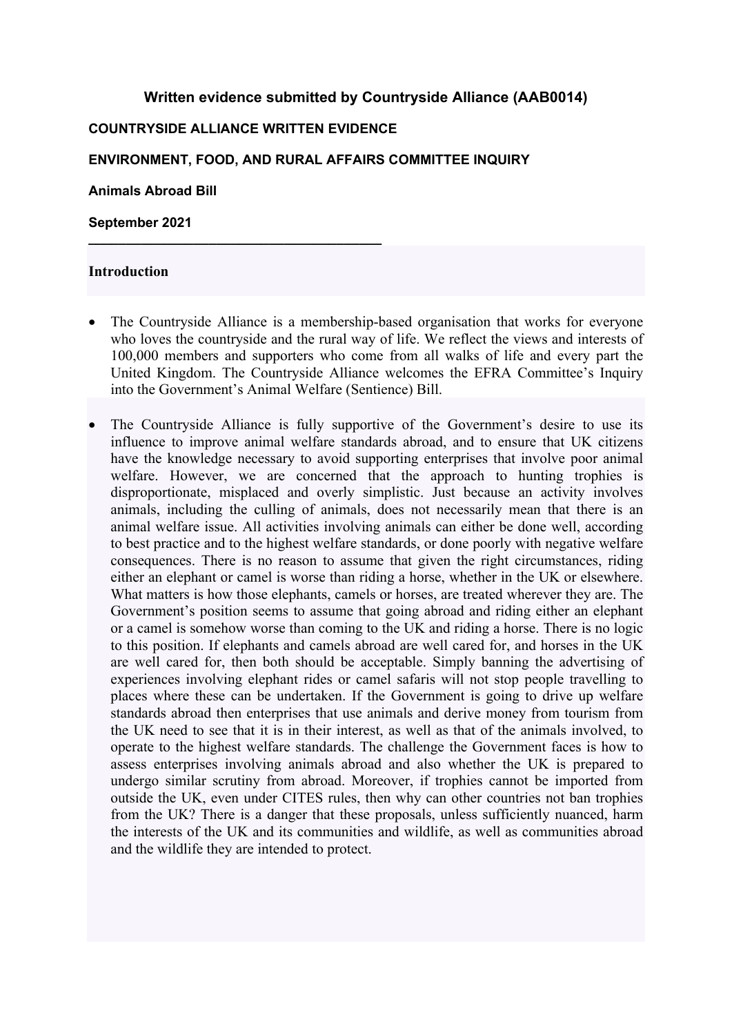## **Written evidence submitted by Countryside Alliance (AAB0014)**

#### **COUNTRYSIDE ALLIANCE WRITTEN EVIDENCE**

**\_\_\_\_\_\_\_\_\_\_\_\_\_\_\_\_\_\_\_\_\_\_\_\_\_\_\_\_\_\_\_\_\_\_\_\_\_\_\_**

#### **ENVIRONMENT, FOOD, AND RURAL AFFAIRS COMMITTEE INQUIRY**

**Animals Abroad Bill**

**September 2021**

#### **Introduction**

- The Countryside Alliance is a membership-based organisation that works for everyone who loves the countryside and the rural way of life. We reflect the views and interests of 100,000 members and supporters who come from all walks of life and every part the United Kingdom. The Countryside Alliance welcomes the EFRA Committee's Inquiry into the Government's Animal Welfare (Sentience) Bill.
- The Countryside Alliance is fully supportive of the Government's desire to use its influence to improve animal welfare standards abroad, and to ensure that UK citizens have the knowledge necessary to avoid supporting enterprises that involve poor animal welfare. However, we are concerned that the approach to hunting trophies is disproportionate, misplaced and overly simplistic. Just because an activity involves animals, including the culling of animals, does not necessarily mean that there is an animal welfare issue. All activities involving animals can either be done well, according to best practice and to the highest welfare standards, or done poorly with negative welfare consequences. There is no reason to assume that given the right circumstances, riding either an elephant or camel is worse than riding a horse, whether in the UK or elsewhere. What matters is how those elephants, camels or horses, are treated wherever they are. The Government's position seems to assume that going abroad and riding either an elephant or a camel is somehow worse than coming to the UK and riding a horse. There is no logic to this position. If elephants and camels abroad are well cared for, and horses in the UK are well cared for, then both should be acceptable. Simply banning the advertising of experiences involving elephant rides or camel safaris will not stop people travelling to places where these can be undertaken. If the Government is going to drive up welfare standards abroad then enterprises that use animals and derive money from tourism from the UK need to see that it is in their interest, as well as that of the animals involved, to operate to the highest welfare standards. The challenge the Government faces is how to assess enterprises involving animals abroad and also whether the UK is prepared to undergo similar scrutiny from abroad. Moreover, if trophies cannot be imported from outside the UK, even under CITES rules, then why can other countries not ban trophies from the UK? There is a danger that these proposals, unless sufficiently nuanced, harm the interests of the UK and its communities and wildlife, as well as communities abroad and the wildlife they are intended to protect.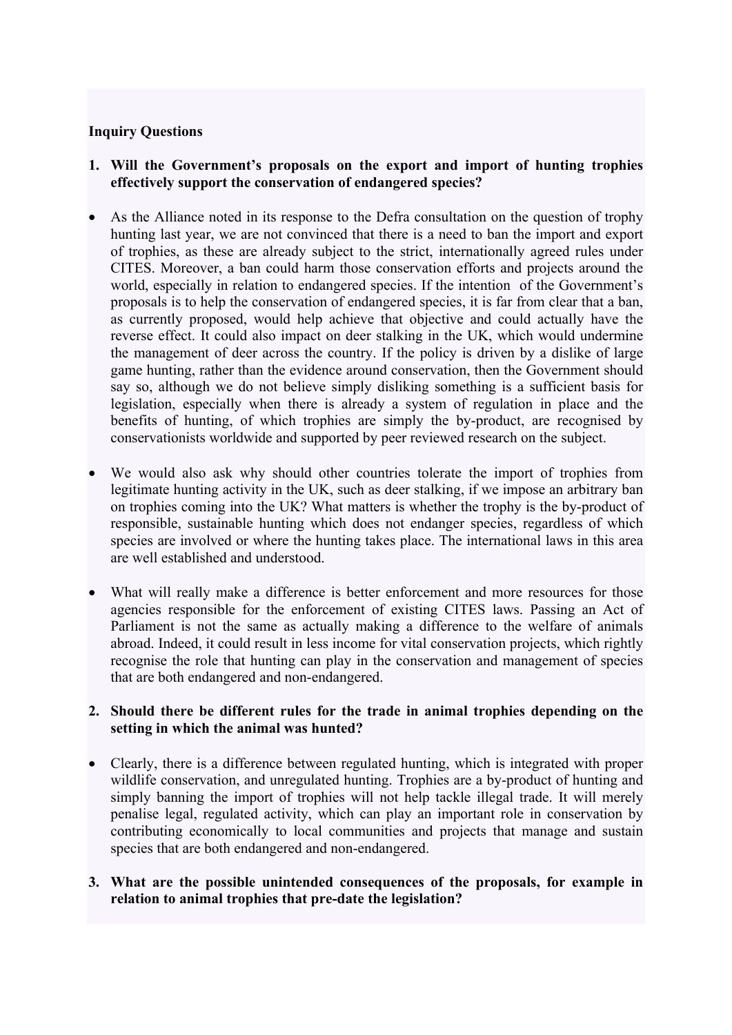## **Inquiry Questions**

- **1. Will the Government's proposals on the export and import of hunting trophies effectively support the conservation of endangered species?**
- As the Alliance noted in its response to the Defra consultation on the question of trophy hunting last year, we are not convinced that there is a need to ban the import and export of trophies, as these are already subject to the strict, internationally agreed rules under CITES. Moreover, a ban could harm those conservation efforts and projects around the world, especially in relation to endangered species. If the intention of the Government's proposals is to help the conservation of endangered species, it is far from clear that a ban, as currently proposed, would help achieve that objective and could actually have the reverse effect. It could also impact on deer stalking in the UK, which would undermine the management of deer across the country. If the policy is driven by a dislike of large game hunting, rather than the evidence around conservation, then the Government should say so, although we do not believe simply disliking something is a sufficient basis for legislation, especially when there is already a system of regulation in place and the benefits of hunting, of which trophies are simply the by-product, are recognised by conservationists worldwide and supported by peer reviewed research on the subject.
- We would also ask why should other countries tolerate the import of trophies from legitimate hunting activity in the UK, such as deer stalking, if we impose an arbitrary ban on trophies coming into the UK? What matters is whether the trophy is the by-product of responsible, sustainable hunting which does not endanger species, regardless of which species are involved or where the hunting takes place. The international laws in this area are well established and understood.
- What will really make a difference is better enforcement and more resources for those agencies responsible for the enforcement of existing CITES laws. Passing an Act of Parliament is not the same as actually making a difference to the welfare of animals abroad. Indeed, it could result in less income for vital conservation projects, which rightly recognise the role that hunting can play in the conservation and management of species that are both endangered and non-endangered.

## **2. Should there be different rules for the trade in animal trophies depending on the setting in which the animal was hunted?**

- Clearly, there is a difference between regulated hunting, which is integrated with proper wildlife conservation, and unregulated hunting. Trophies are a by-product of hunting and simply banning the import of trophies will not help tackle illegal trade. It will merely penalise legal, regulated activity, which can play an important role in conservation by contributing economically to local communities and projects that manage and sustain species that are both endangered and non-endangered.
- **3. What are the possible unintended consequences of the proposals, for example in relation to animal trophies that pre-date the legislation?**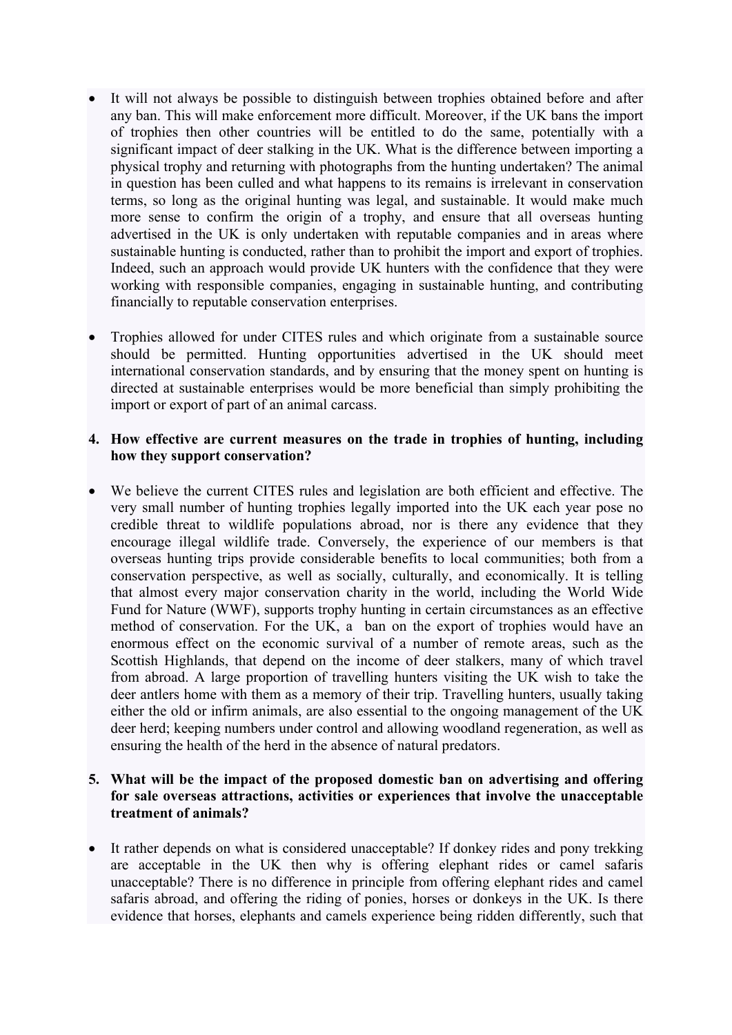- It will not always be possible to distinguish between trophies obtained before and after any ban. This will make enforcement more difficult. Moreover, if the UK bans the import of trophies then other countries will be entitled to do the same, potentially with a significant impact of deer stalking in the UK. What is the difference between importing a physical trophy and returning with photographs from the hunting undertaken? The animal in question has been culled and what happens to its remains is irrelevant in conservation terms, so long as the original hunting was legal, and sustainable. It would make much more sense to confirm the origin of a trophy, and ensure that all overseas hunting advertised in the UK is only undertaken with reputable companies and in areas where sustainable hunting is conducted, rather than to prohibit the import and export of trophies. Indeed, such an approach would provide UK hunters with the confidence that they were working with responsible companies, engaging in sustainable hunting, and contributing financially to reputable conservation enterprises.
- Trophies allowed for under CITES rules and which originate from a sustainable source should be permitted. Hunting opportunities advertised in the UK should meet international conservation standards, and by ensuring that the money spent on hunting is directed at sustainable enterprises would be more beneficial than simply prohibiting the import or export of part of an animal carcass.

# **4. How effective are current measures on the trade in trophies of hunting, including how they support conservation?**

 We believe the current CITES rules and legislation are both efficient and effective. The very small number of hunting trophies legally imported into the UK each year pose no credible threat to wildlife populations abroad, nor is there any evidence that they encourage illegal wildlife trade. Conversely, the experience of our members is that overseas hunting trips provide considerable benefits to local communities; both from a conservation perspective, as well as socially, culturally, and economically. It is telling that almost every major conservation charity in the world, including the World Wide Fund for Nature (WWF), supports trophy hunting in certain circumstances as an effective method of conservation. For the UK, a ban on the export of trophies would have an enormous effect on the economic survival of a number of remote areas, such as the Scottish Highlands, that depend on the income of deer stalkers, many of which travel from abroad. A large proportion of travelling hunters visiting the UK wish to take the deer antlers home with them as a memory of their trip. Travelling hunters, usually taking either the old or infirm animals, are also essential to the ongoing management of the UK deer herd; keeping numbers under control and allowing woodland regeneration, as well as ensuring the health of the herd in the absence of natural predators.

## **5. What will be the impact of the proposed domestic ban on advertising and offering for sale overseas attractions, activities or experiences that involve the unacceptable treatment of animals?**

 It rather depends on what is considered unacceptable? If donkey rides and pony trekking are acceptable in the UK then why is offering elephant rides or camel safaris unacceptable? There is no difference in principle from offering elephant rides and camel safaris abroad, and offering the riding of ponies, horses or donkeys in the UK. Is there evidence that horses, elephants and camels experience being ridden differently, such that